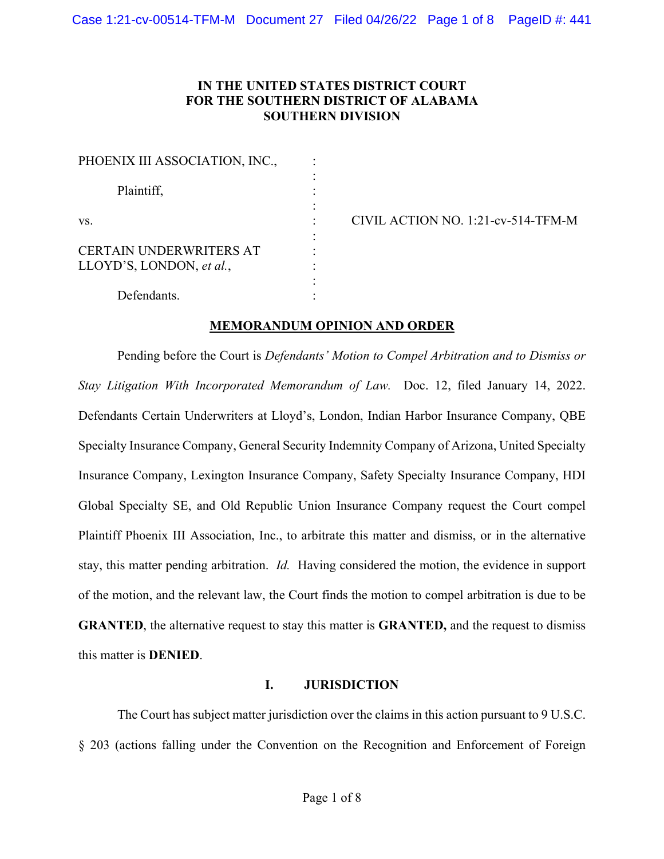# **IN THE UNITED STATES DISTRICT COURT FOR THE SOUTHERN DISTRICT OF ALABAMA SOUTHERN DIVISION**

| PHOENIX III ASSOCIATION, INC.,                             |  |
|------------------------------------------------------------|--|
| Plaintiff,                                                 |  |
| VS.                                                        |  |
| <b>CERTAIN UNDERWRITERS AT</b><br>LLOYD'S, LONDON, et al., |  |
| Defendants.                                                |  |

CIVIL ACTION NO. 1:21-cv-514-TFM-M

#### **MEMORANDUM OPINION AND ORDER**

Pending before the Court is *Defendants' Motion to Compel Arbitration and to Dismiss or Stay Litigation With Incorporated Memorandum of Law.* Doc. 12, filed January 14, 2022. Defendants Certain Underwriters at Lloyd's, London, Indian Harbor Insurance Company, QBE Specialty Insurance Company, General Security Indemnity Company of Arizona, United Specialty Insurance Company, Lexington Insurance Company, Safety Specialty Insurance Company, HDI Global Specialty SE, and Old Republic Union Insurance Company request the Court compel Plaintiff Phoenix III Association, Inc., to arbitrate this matter and dismiss, or in the alternative stay, this matter pending arbitration. *Id.* Having considered the motion, the evidence in support of the motion, and the relevant law, the Court finds the motion to compel arbitration is due to be **GRANTED**, the alternative request to stay this matter is **GRANTED,** and the request to dismiss this matter is **DENIED**.

#### **I. JURISDICTION**

The Court has subject matter jurisdiction over the claims in this action pursuant to 9 U.S.C. § 203 (actions falling under the Convention on the Recognition and Enforcement of Foreign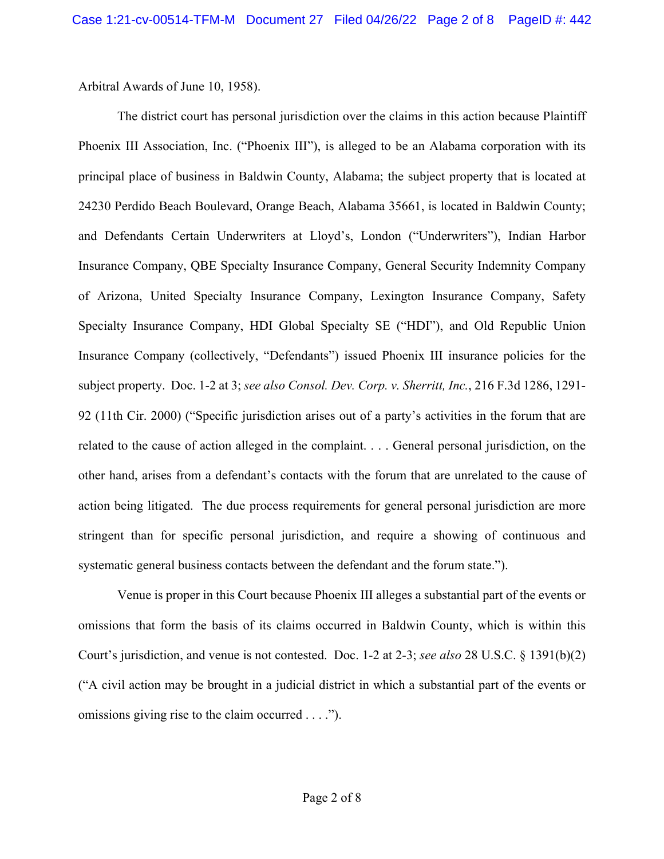Arbitral Awards of June 10, 1958).

The district court has personal jurisdiction over the claims in this action because Plaintiff Phoenix III Association, Inc. ("Phoenix III"), is alleged to be an Alabama corporation with its principal place of business in Baldwin County, Alabama; the subject property that is located at 24230 Perdido Beach Boulevard, Orange Beach, Alabama 35661, is located in Baldwin County; and Defendants Certain Underwriters at Lloyd's, London ("Underwriters"), Indian Harbor Insurance Company, QBE Specialty Insurance Company, General Security Indemnity Company of Arizona, United Specialty Insurance Company, Lexington Insurance Company, Safety Specialty Insurance Company, HDI Global Specialty SE ("HDI"), and Old Republic Union Insurance Company (collectively, "Defendants") issued Phoenix III insurance policies for the subject property. Doc. 1-2 at 3; *see also Consol. Dev. Corp. v. Sherritt, Inc.*, 216 F.3d 1286, 1291- 92 (11th Cir. 2000) ("Specific jurisdiction arises out of a party's activities in the forum that are related to the cause of action alleged in the complaint. . . . General personal jurisdiction, on the other hand, arises from a defendant's contacts with the forum that are unrelated to the cause of action being litigated. The due process requirements for general personal jurisdiction are more stringent than for specific personal jurisdiction, and require a showing of continuous and systematic general business contacts between the defendant and the forum state.").

Venue is proper in this Court because Phoenix III alleges a substantial part of the events or omissions that form the basis of its claims occurred in Baldwin County, which is within this Court's jurisdiction, and venue is not contested. Doc. 1-2 at 2-3; *see also* 28 U.S.C. § 1391(b)(2) ("A civil action may be brought in a judicial district in which a substantial part of the events or omissions giving rise to the claim occurred . . . .").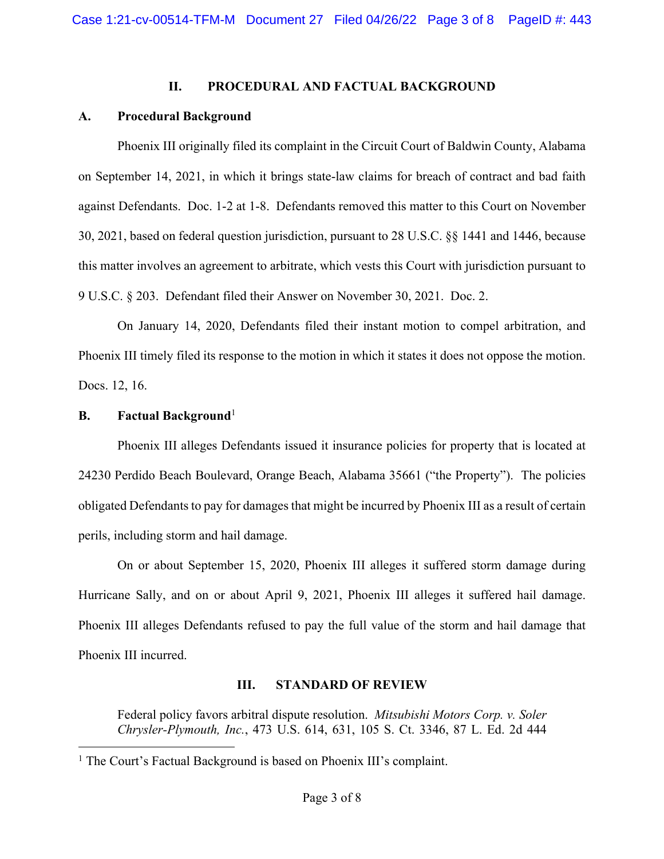#### **II. PROCEDURAL AND FACTUAL BACKGROUND**

# **A. Procedural Background**

Phoenix III originally filed its complaint in the Circuit Court of Baldwin County, Alabama on September 14, 2021, in which it brings state-law claims for breach of contract and bad faith against Defendants. Doc. 1-2 at 1-8. Defendants removed this matter to this Court on November 30, 2021, based on federal question jurisdiction, pursuant to 28 U.S.C. §§ 1441 and 1446, because this matter involves an agreement to arbitrate, which vests this Court with jurisdiction pursuant to 9 U.S.C. § 203. Defendant filed their Answer on November 30, 2021. Doc. 2.

On January 14, 2020, Defendants filed their instant motion to compel arbitration, and Phoenix III timely filed its response to the motion in which it states it does not oppose the motion. Docs. 12, 16.

## **B. Factual Background**<sup>1</sup>

Phoenix III alleges Defendants issued it insurance policies for property that is located at 24230 Perdido Beach Boulevard, Orange Beach, Alabama 35661 ("the Property"). The policies obligated Defendants to pay for damages that might be incurred by Phoenix III as a result of certain perils, including storm and hail damage.

On or about September 15, 2020, Phoenix III alleges it suffered storm damage during Hurricane Sally, and on or about April 9, 2021, Phoenix III alleges it suffered hail damage. Phoenix III alleges Defendants refused to pay the full value of the storm and hail damage that Phoenix III incurred.

#### **III. STANDARD OF REVIEW**

Federal policy favors arbitral dispute resolution. *Mitsubishi Motors Corp. v. Soler Chrysler-Plymouth, Inc.*, 473 U.S. 614, 631, 105 S. Ct. 3346, 87 L. Ed. 2d 444

<sup>&</sup>lt;sup>1</sup> The Court's Factual Background is based on Phoenix III's complaint.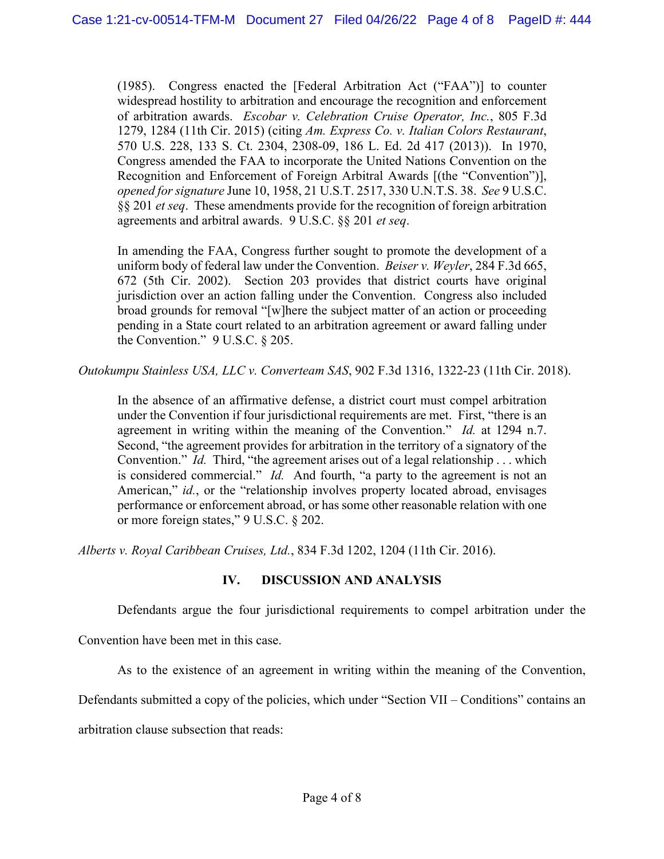(1985). Congress enacted the [Federal Arbitration Act ("FAA")] to counter widespread hostility to arbitration and encourage the recognition and enforcement of arbitration awards. *Escobar v. Celebration Cruise Operator, Inc.*, 805 F.3d 1279, 1284 (11th Cir. 2015) (citing *Am. Express Co. v. Italian Colors Restaurant*, 570 U.S. 228, 133 S. Ct. 2304, 2308-09, 186 L. Ed. 2d 417 (2013)). In 1970, Congress amended the FAA to incorporate the United Nations Convention on the Recognition and Enforcement of Foreign Arbitral Awards [(the "Convention")], *opened for signature* June 10, 1958, 21 U.S.T. 2517, 330 U.N.T.S. 38. *See* 9 U.S.C. §§ 201 *et seq*. These amendments provide for the recognition of foreign arbitration agreements and arbitral awards. 9 U.S.C. §§ 201 *et seq*.

In amending the FAA, Congress further sought to promote the development of a uniform body of federal law under the Convention. *Beiser v. Weyler*, 284 F.3d 665, 672 (5th Cir. 2002). Section 203 provides that district courts have original jurisdiction over an action falling under the Convention. Congress also included broad grounds for removal "[w]here the subject matter of an action or proceeding pending in a State court related to an arbitration agreement or award falling under the Convention." 9 U.S.C. § 205.

*Outokumpu Stainless USA, LLC v. Converteam SAS*, 902 F.3d 1316, 1322-23 (11th Cir. 2018).

In the absence of an affirmative defense, a district court must compel arbitration under the Convention if four jurisdictional requirements are met. First, "there is an agreement in writing within the meaning of the Convention." *Id.* at 1294 n.7. Second, "the agreement provides for arbitration in the territory of a signatory of the Convention." *Id.* Third, "the agreement arises out of a legal relationship . . . which is considered commercial." *Id.* And fourth, "a party to the agreement is not an American," *id.*, or the "relationship involves property located abroad, envisages performance or enforcement abroad, or has some other reasonable relation with one or more foreign states," 9 U.S.C. § 202.

*Alberts v. Royal Caribbean Cruises, Ltd.*, 834 F.3d 1202, 1204 (11th Cir. 2016).

# **IV. DISCUSSION AND ANALYSIS**

Defendants argue the four jurisdictional requirements to compel arbitration under the

Convention have been met in this case.

As to the existence of an agreement in writing within the meaning of the Convention,

Defendants submitted a copy of the policies, which under "Section VII – Conditions" contains an

arbitration clause subsection that reads: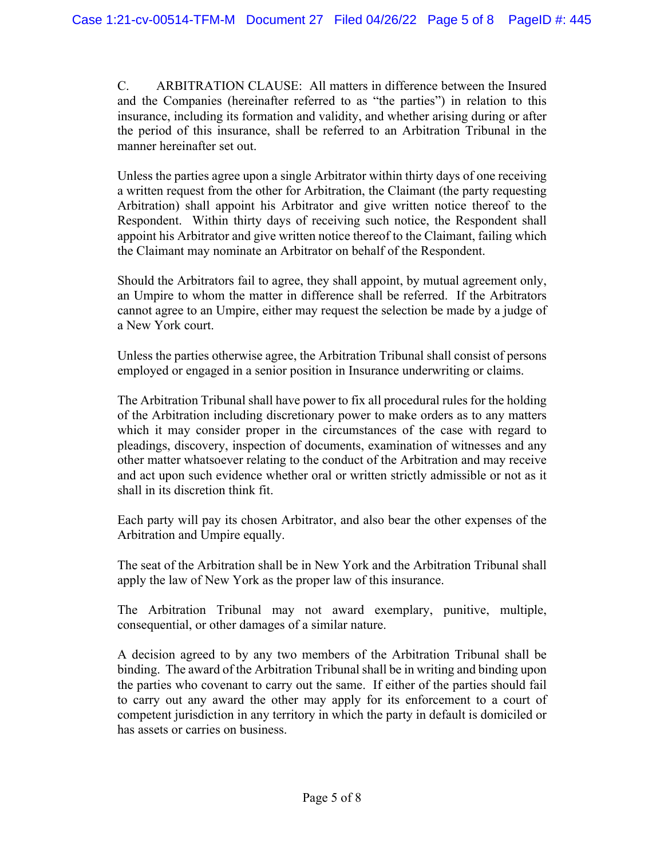C. ARBITRATION CLAUSE: All matters in difference between the Insured and the Companies (hereinafter referred to as "the parties") in relation to this insurance, including its formation and validity, and whether arising during or after the period of this insurance, shall be referred to an Arbitration Tribunal in the manner hereinafter set out.

Unless the parties agree upon a single Arbitrator within thirty days of one receiving a written request from the other for Arbitration, the Claimant (the party requesting Arbitration) shall appoint his Arbitrator and give written notice thereof to the Respondent. Within thirty days of receiving such notice, the Respondent shall appoint his Arbitrator and give written notice thereof to the Claimant, failing which the Claimant may nominate an Arbitrator on behalf of the Respondent.

Should the Arbitrators fail to agree, they shall appoint, by mutual agreement only, an Umpire to whom the matter in difference shall be referred. If the Arbitrators cannot agree to an Umpire, either may request the selection be made by a judge of a New York court.

Unless the parties otherwise agree, the Arbitration Tribunal shall consist of persons employed or engaged in a senior position in Insurance underwriting or claims.

The Arbitration Tribunal shall have power to fix all procedural rules for the holding of the Arbitration including discretionary power to make orders as to any matters which it may consider proper in the circumstances of the case with regard to pleadings, discovery, inspection of documents, examination of witnesses and any other matter whatsoever relating to the conduct of the Arbitration and may receive and act upon such evidence whether oral or written strictly admissible or not as it shall in its discretion think fit.

Each party will pay its chosen Arbitrator, and also bear the other expenses of the Arbitration and Umpire equally.

The seat of the Arbitration shall be in New York and the Arbitration Tribunal shall apply the law of New York as the proper law of this insurance.

The Arbitration Tribunal may not award exemplary, punitive, multiple, consequential, or other damages of a similar nature.

A decision agreed to by any two members of the Arbitration Tribunal shall be binding. The award of the Arbitration Tribunal shall be in writing and binding upon the parties who covenant to carry out the same. If either of the parties should fail to carry out any award the other may apply for its enforcement to a court of competent jurisdiction in any territory in which the party in default is domiciled or has assets or carries on business.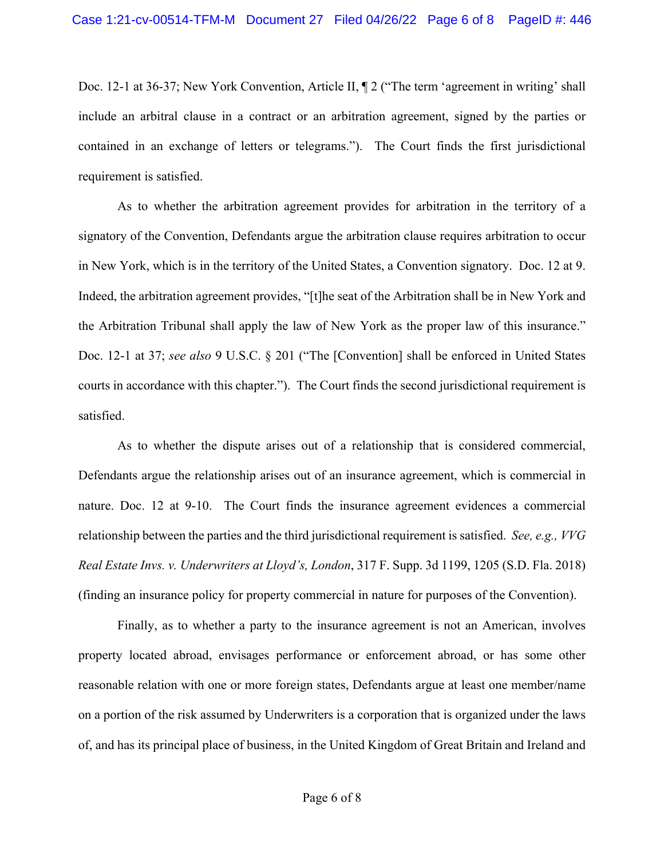Doc. 12-1 at 36-37; New York Convention, Article II,  $\P$  2 ("The term 'agreement in writing' shall include an arbitral clause in a contract or an arbitration agreement, signed by the parties or contained in an exchange of letters or telegrams."). The Court finds the first jurisdictional requirement is satisfied.

As to whether the arbitration agreement provides for arbitration in the territory of a signatory of the Convention, Defendants argue the arbitration clause requires arbitration to occur in New York, which is in the territory of the United States, a Convention signatory. Doc. 12 at 9. Indeed, the arbitration agreement provides, "[t]he seat of the Arbitration shall be in New York and the Arbitration Tribunal shall apply the law of New York as the proper law of this insurance." Doc. 12-1 at 37; *see also* 9 U.S.C. § 201 ("The [Convention] shall be enforced in United States courts in accordance with this chapter."). The Court finds the second jurisdictional requirement is satisfied.

As to whether the dispute arises out of a relationship that is considered commercial, Defendants argue the relationship arises out of an insurance agreement, which is commercial in nature. Doc. 12 at 9-10. The Court finds the insurance agreement evidences a commercial relationship between the parties and the third jurisdictional requirement is satisfied. *See, e.g., VVG Real Estate Invs. v. Underwriters at Lloyd's, London*, 317 F. Supp. 3d 1199, 1205 (S.D. Fla. 2018) (finding an insurance policy for property commercial in nature for purposes of the Convention).

Finally, as to whether a party to the insurance agreement is not an American, involves property located abroad, envisages performance or enforcement abroad, or has some other reasonable relation with one or more foreign states, Defendants argue at least one member/name on a portion of the risk assumed by Underwriters is a corporation that is organized under the laws of, and has its principal place of business, in the United Kingdom of Great Britain and Ireland and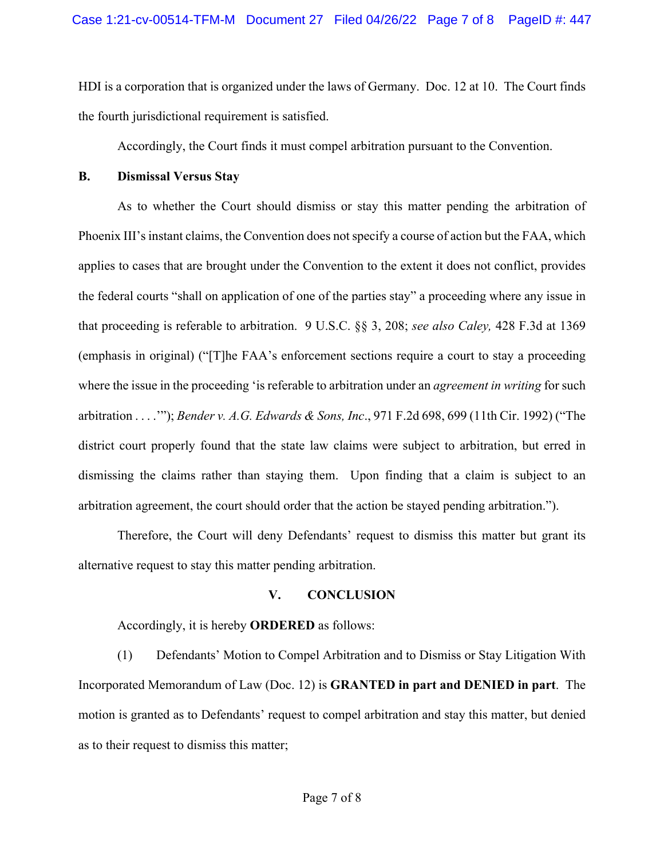HDI is a corporation that is organized under the laws of Germany. Doc. 12 at 10. The Court finds the fourth jurisdictional requirement is satisfied.

Accordingly, the Court finds it must compel arbitration pursuant to the Convention.

#### **B. Dismissal Versus Stay**

As to whether the Court should dismiss or stay this matter pending the arbitration of Phoenix III's instant claims, the Convention does not specify a course of action but the FAA, which applies to cases that are brought under the Convention to the extent it does not conflict, provides the federal courts "shall on application of one of the parties stay" a proceeding where any issue in that proceeding is referable to arbitration. 9 U.S.C. §§ 3, 208; *see also Caley,* 428 F.3d at 1369 (emphasis in original) ("[T]he FAA's enforcement sections require a court to stay a proceeding where the issue in the proceeding 'is referable to arbitration under an *agreement in writing* for such arbitration . . . .'"); *Bender v. A.G. Edwards & Sons, Inc*., 971 F.2d 698, 699 (11th Cir. 1992) ("The district court properly found that the state law claims were subject to arbitration, but erred in dismissing the claims rather than staying them. Upon finding that a claim is subject to an arbitration agreement, the court should order that the action be stayed pending arbitration.").

Therefore, the Court will deny Defendants' request to dismiss this matter but grant its alternative request to stay this matter pending arbitration.

# **V. CONCLUSION**

Accordingly, it is hereby **ORDERED** as follows:

(1) Defendants' Motion to Compel Arbitration and to Dismiss or Stay Litigation With Incorporated Memorandum of Law (Doc. 12) is **GRANTED in part and DENIED in part**. The motion is granted as to Defendants' request to compel arbitration and stay this matter, but denied as to their request to dismiss this matter;